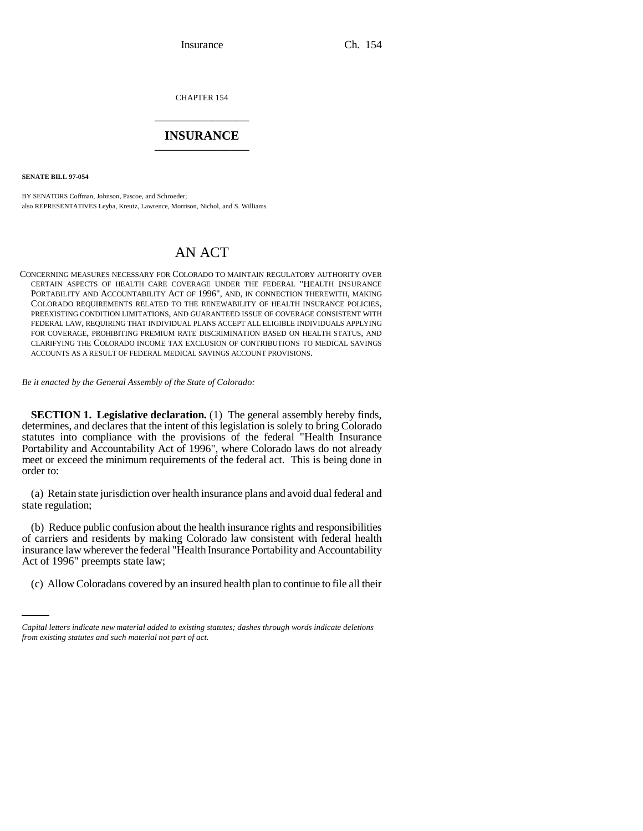CHAPTER 154 \_\_\_\_\_\_\_\_\_\_\_\_\_\_\_

# **INSURANCE** \_\_\_\_\_\_\_\_\_\_\_\_\_\_\_

**SENATE BILL 97-054**

BY SENATORS Coffman, Johnson, Pascoe, and Schroeder; also REPRESENTATIVES Leyba, Kreutz, Lawrence, Morrison, Nichol, and S. Williams.

# AN ACT

CONCERNING MEASURES NECESSARY FOR COLORADO TO MAINTAIN REGULATORY AUTHORITY OVER CERTAIN ASPECTS OF HEALTH CARE COVERAGE UNDER THE FEDERAL "HEALTH INSURANCE PORTABILITY AND ACCOUNTABILITY ACT OF 1996", AND, IN CONNECTION THEREWITH, MAKING COLORADO REQUIREMENTS RELATED TO THE RENEWABILITY OF HEALTH INSURANCE POLICIES, PREEXISTING CONDITION LIMITATIONS, AND GUARANTEED ISSUE OF COVERAGE CONSISTENT WITH FEDERAL LAW, REQUIRING THAT INDIVIDUAL PLANS ACCEPT ALL ELIGIBLE INDIVIDUALS APPLYING FOR COVERAGE, PROHIBITING PREMIUM RATE DISCRIMINATION BASED ON HEALTH STATUS, AND CLARIFYING THE COLORADO INCOME TAX EXCLUSION OF CONTRIBUTIONS TO MEDICAL SAVINGS ACCOUNTS AS A RESULT OF FEDERAL MEDICAL SAVINGS ACCOUNT PROVISIONS.

*Be it enacted by the General Assembly of the State of Colorado:*

**SECTION 1. Legislative declaration.** (1) The general assembly hereby finds, determines, and declares that the intent of this legislation is solely to bring Colorado statutes into compliance with the provisions of the federal "Health Insurance Portability and Accountability Act of 1996", where Colorado laws do not already meet or exceed the minimum requirements of the federal act. This is being done in order to:

(a) Retain state jurisdiction over health insurance plans and avoid dual federal and state regulation;

Act of 1996" preempts state law; (b) Reduce public confusion about the health insurance rights and responsibilities of carriers and residents by making Colorado law consistent with federal health insurance law wherever the federal "Health Insurance Portability and Accountability

(c) Allow Coloradans covered by an insured health plan to continue to file all their

*Capital letters indicate new material added to existing statutes; dashes through words indicate deletions from existing statutes and such material not part of act.*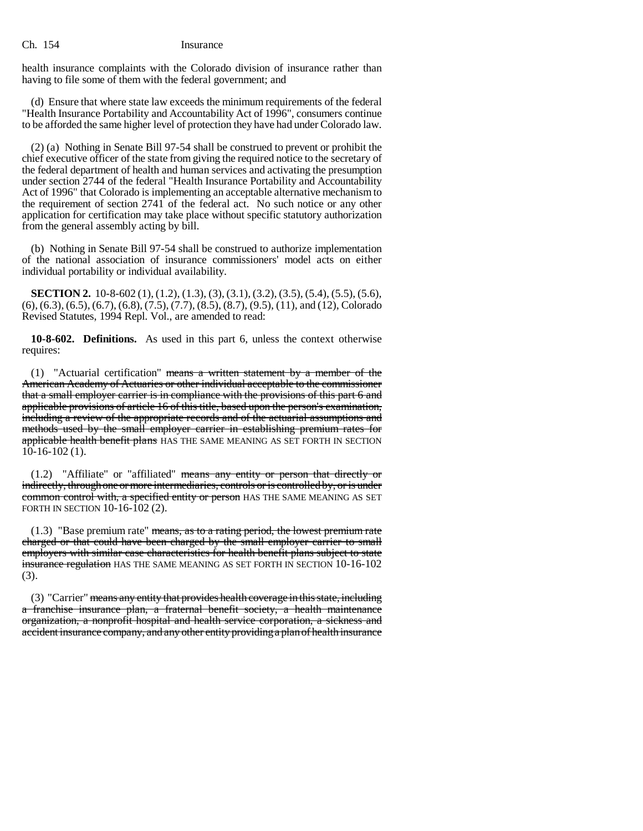health insurance complaints with the Colorado division of insurance rather than having to file some of them with the federal government; and

(d) Ensure that where state law exceeds the minimum requirements of the federal "Health Insurance Portability and Accountability Act of 1996", consumers continue to be afforded the same higher level of protection they have had under Colorado law.

(2) (a) Nothing in Senate Bill 97-54 shall be construed to prevent or prohibit the chief executive officer of the state from giving the required notice to the secretary of the federal department of health and human services and activating the presumption under section 2744 of the federal "Health Insurance Portability and Accountability Act of 1996" that Colorado is implementing an acceptable alternative mechanism to the requirement of section 2741 of the federal act. No such notice or any other application for certification may take place without specific statutory authorization from the general assembly acting by bill.

(b) Nothing in Senate Bill 97-54 shall be construed to authorize implementation of the national association of insurance commissioners' model acts on either individual portability or individual availability.

**SECTION 2.** 10-8-602 (1), (1.2), (1.3), (3), (3.1), (3.2), (3.5), (5.4), (5.5), (5.6), (6), (6.3), (6.5), (6.7), (6.8), (7.5), (7.7), (8.5), (8.7), (9.5), (11), and (12), Colorado Revised Statutes, 1994 Repl. Vol., are amended to read:

**10-8-602. Definitions.** As used in this part 6, unless the context otherwise requires:

(1) "Actuarial certification" means a written statement by a member of the American Academy of Actuaries or other individual acceptable to the commissioner that a small employer carrier is in compliance with the provisions of this part 6 and applicable provisions of article 16 of this title, based upon the person's examination, including a review of the appropriate records and of the actuarial assumptions and methods used by the small employer carrier in establishing premium rates for applicable health benefit plans HAS THE SAME MEANING AS SET FORTH IN SECTION 10-16-102 (1).

(1.2) "Affiliate" or "affiliated" means any entity or person that directly or indirectly, through one or more intermediaries, controls or is controlled by, or is under common control with, a specified entity or person HAS THE SAME MEANING AS SET FORTH IN SECTION 10-16-102 (2).

 $(1.3)$  "Base premium rate" means, as to a rating period, the lowest premium rate charged or that could have been charged by the small employer carrier to small employers with similar case characteristics for health benefit plans subject to state insurance regulation HAS THE SAME MEANING AS SET FORTH IN SECTION 10-16-102 (3).

(3) "Carrier" means any entity that provides health coverage in this state, including a franchise insurance plan, a fraternal benefit society, a health maintenance organization, a nonprofit hospital and health service corporation, a sickness and accident insurance company, and any other entity providing a plan of health insurance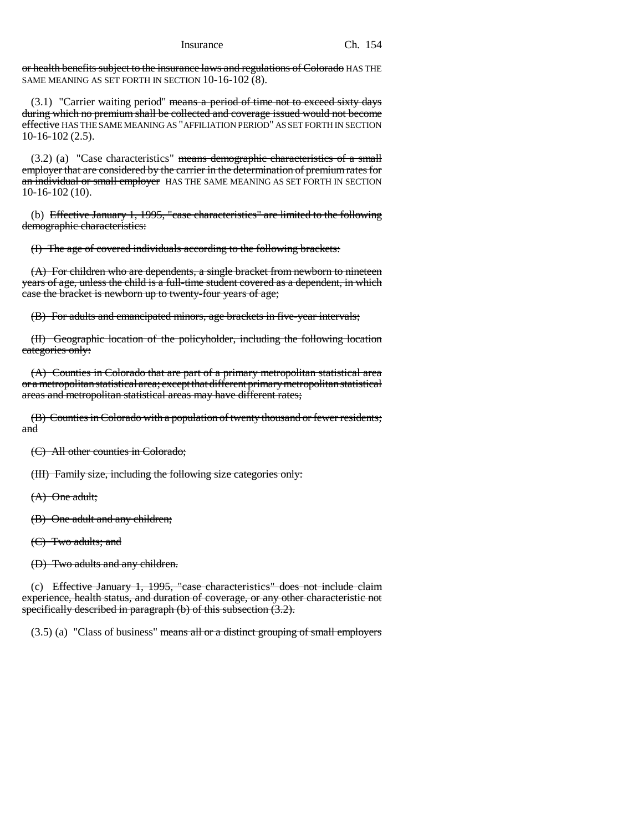or health benefits subject to the insurance laws and regulations of Colorado HAS THE SAME MEANING AS SET FORTH IN SECTION 10-16-102 (8).

 $(3.1)$  "Carrier waiting period" means a period of time not to exceed sixty days during which no premium shall be collected and coverage issued would not become effective HAS THE SAME MEANING AS "AFFILIATION PERIOD" AS SET FORTH IN SECTION 10-16-102 (2.5).

 $(3.2)$  (a) "Case characteristics" means demographic characteristics of a small employer that are considered by the carrier in the determination of premium rates for an individual or small employer HAS THE SAME MEANING AS SET FORTH IN SECTION 10-16-102 (10).

(b) Effective January 1, 1995, "case characteristics" are limited to the following demographic characteristics:

(I) The age of covered individuals according to the following brackets:

(A) For children who are dependents, a single bracket from newborn to nineteen years of age, unless the child is a full-time student covered as a dependent, in which case the bracket is newborn up to twenty-four years of age;

(B) For adults and emancipated minors, age brackets in five-year intervals;

(II) Geographic location of the policyholder, including the following location categories only:

(A) Counties in Colorado that are part of a primary metropolitan statistical area or a metropolitan statistical area; except that different primary metropolitan statistical areas and metropolitan statistical areas may have different rates;

(B) Counties in Colorado with a population of twenty thousand or fewer residents; and

(C) All other counties in Colorado;

(III) Family size, including the following size categories only:

(A) One adult;

(B) One adult and any children;

(C) Two adults; and

(D) Two adults and any children.

(c) Effective January 1, 1995, "case characteristics" does not include claim experience, health status, and duration of coverage, or any other characteristic not specifically described in paragraph (b) of this subsection (3.2).

 $(3.5)$  (a) "Class of business" means all or a distinct grouping of small employers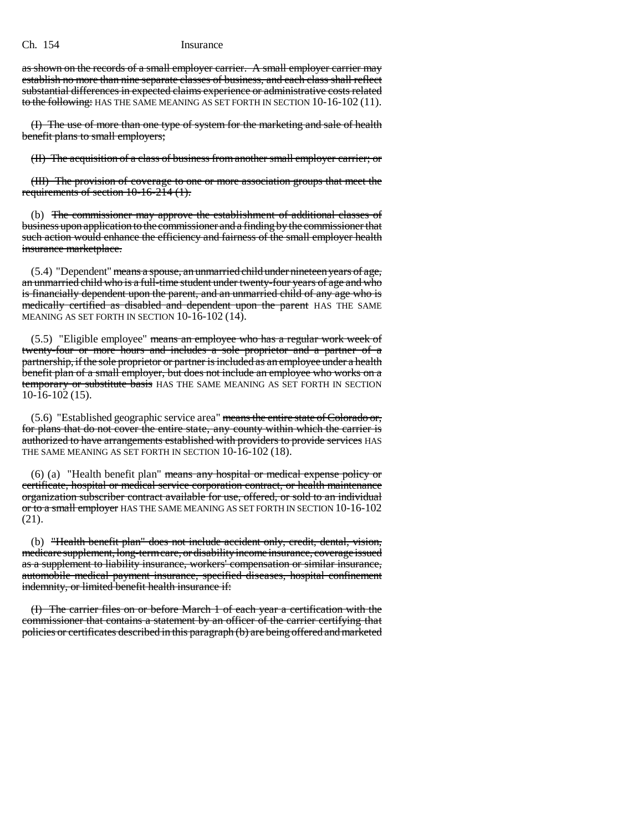as shown on the records of a small employer carrier. A small employer carrier may establish no more than nine separate classes of business, and each class shall reflect substantial differences in expected claims experience or administrative costs related to the following: HAS THE SAME MEANING AS SET FORTH IN SECTION 10-16-102 (11).

(I) The use of more than one type of system for the marketing and sale of health benefit plans to small employers;

(II) The acquisition of a class of business from another small employer carrier; or

(III) The provision of coverage to one or more association groups that meet the requirements of section 10-16-214 (1).

(b) The commissioner may approve the establishment of additional classes of business upon application to the commissioner and a finding by the commissioner that such action would enhance the efficiency and fairness of the small employer health insurance marketplace.

 $(5.4)$  "Dependent" means a spouse, an unmarried child under nineteen years of age, an unmarried child who is a full-time student under twenty-four years of age and who is financially dependent upon the parent, and an unmarried child of any age who is medically certified as disabled and dependent upon the parent HAS THE SAME MEANING AS SET FORTH IN SECTION 10-16-102 (14).

(5.5) "Eligible employee" means an employee who has a regular work week of twenty-four or more hours and includes a sole proprietor and a partner of a partnership, if the sole proprietor or partner is included as an employee under a health benefit plan of a small employer, but does not include an employee who works on a temporary or substitute basis HAS THE SAME MEANING AS SET FORTH IN SECTION 10-16-102 (15).

 $(5.6)$  "Established geographic service area" means the entire state of Colorado or, for plans that do not cover the entire state, any county within which the carrier is authorized to have arrangements established with providers to provide services HAS THE SAME MEANING AS SET FORTH IN SECTION 10-16-102 (18).

(6) (a) "Health benefit plan" means any hospital or medical expense policy or certificate, hospital or medical service corporation contract, or health maintenance organization subscriber contract available for use, offered, or sold to an individual or to a small employer HAS THE SAME MEANING AS SET FORTH IN SECTION 10-16-102 (21).

(b) "Health benefit plan" does not include accident only, credit, dental, vision, medicare supplement, long-term care, or disability income insurance, coverage issued as a supplement to liability insurance, workers' compensation or similar insurance, automobile medical payment insurance, specified diseases, hospital confinement indemnity, or limited benefit health insurance if:

(I) The carrier files on or before March 1 of each year a certification with the commissioner that contains a statement by an officer of the carrier certifying that policies or certificates described in this paragraph (b) are being offered and marketed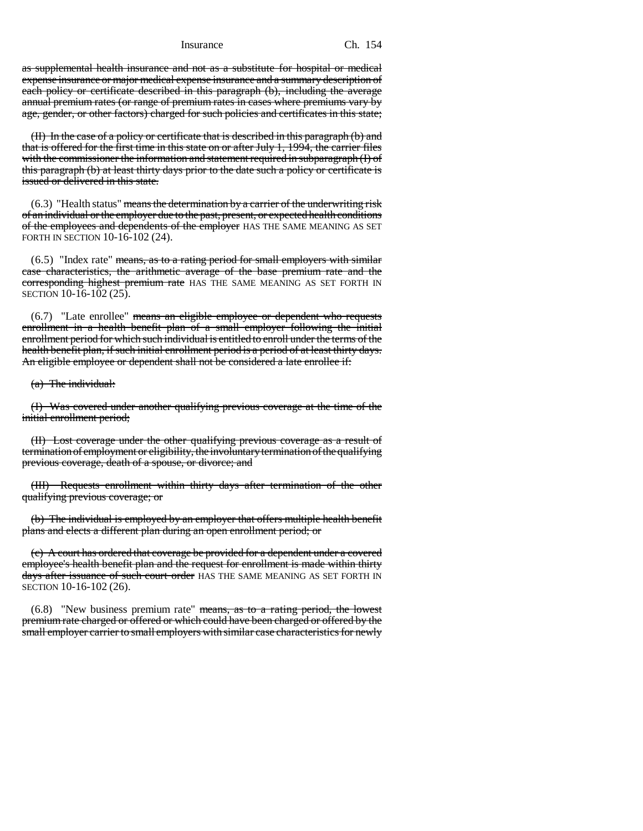as supplemental health insurance and not as a substitute for hospital or medical expense insurance or major medical expense insurance and a summary description of each policy or certificate described in this paragraph (b), including the average annual premium rates (or range of premium rates in cases where premiums vary by age, gender, or other factors) charged for such policies and certificates in this state;

(II) In the case of a policy or certificate that is described in this paragraph (b) and that is offered for the first time in this state on or after July 1, 1994, the carrier files with the commissioner the information and statement required in subparagraph (I) of this paragraph (b) at least thirty days prior to the date such a policy or certificate is issued or delivered in this state.

 $(6.3)$  "Health status" means the determination by a carrier of the underwriting risk of an individual or the employer due to the past, present, or expected health conditions of the employees and dependents of the employer HAS THE SAME MEANING AS SET FORTH IN SECTION 10-16-102 (24).

 $(6.5)$  "Index rate" means, as to a rating period for small employers with similar case characteristics, the arithmetic average of the base premium rate and the corresponding highest premium rate HAS THE SAME MEANING AS SET FORTH IN SECTION 10-16-102 (25).

(6.7) "Late enrollee" means an eligible employee or dependent who requests enrollment in a health benefit plan of a small employer following the initial enrollment period for which such individual is entitled to enroll under the terms of the health benefit plan, if such initial enrollment period is a period of at least thirty days. An eligible employee or dependent shall not be considered a late enrollee if:

(a) The individual:

(I) Was covered under another qualifying previous coverage at the time of the initial enrollment period;

(II) Lost coverage under the other qualifying previous coverage as a result of termination of employment or eligibility, the involuntary termination of the qualifying previous coverage, death of a spouse, or divorce; and

(III) Requests enrollment within thirty days after termination of the other qualifying previous coverage; or

(b) The individual is employed by an employer that offers multiple health benefit plans and elects a different plan during an open enrollment period; or

(c) A court has ordered that coverage be provided for a dependent under a covered employee's health benefit plan and the request for enrollment is made within thirty days after issuance of such court order HAS THE SAME MEANING AS SET FORTH IN SECTION 10-16-102 (26).

 $(6.8)$  "New business premium rate" means, as to a rating period, the lowest premium rate charged or offered or which could have been charged or offered by the small employer carrier to small employers with similar case characteristics for newly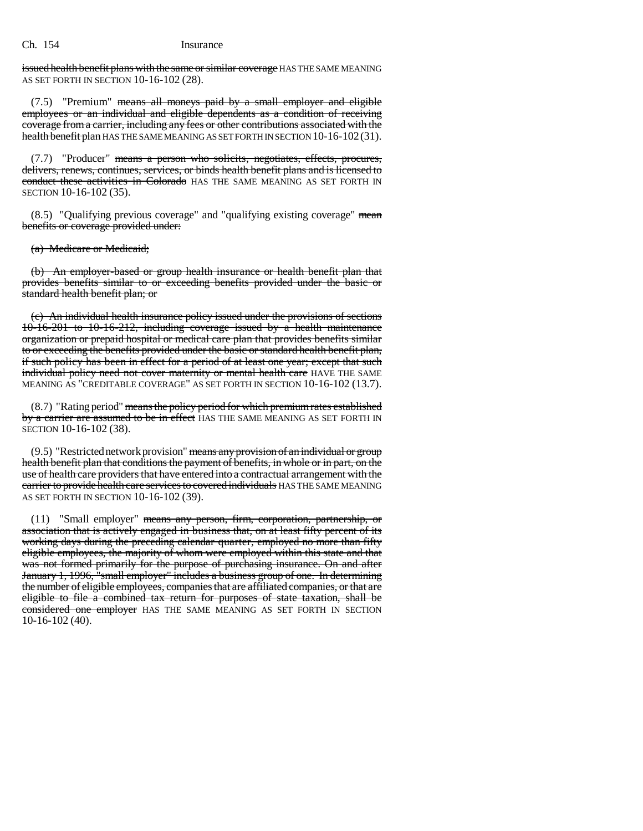issued health benefit plans with the same or similar coverage HAS THE SAME MEANING AS SET FORTH IN SECTION 10-16-102 (28).

(7.5) "Premium" means all moneys paid by a small employer and eligible employees or an individual and eligible dependents as a condition of receiving coverage from a carrier, including any fees or other contributions associated with the health benefit plan HAS THE SAME MEANING AS SET FORTH IN SECTION 10-16-102(31).

(7.7) "Producer" means a person who solicits, negotiates, effects, procures, delivers, renews, continues, services, or binds health benefit plans and is licensed to conduct these activities in Colorado HAS THE SAME MEANING AS SET FORTH IN SECTION 10-16-102 (35).

 $(8.5)$  "Qualifying previous coverage" and "qualifying existing coverage" mean benefits or coverage provided under:

(a) Medicare or Medicaid;

(b) An employer-based or group health insurance or health benefit plan that provides benefits similar to or exceeding benefits provided under the basic or standard health benefit plan; or

(c) An individual health insurance policy issued under the provisions of sections 10-16-201 to 10-16-212, including coverage issued by a health maintenance organization or prepaid hospital or medical care plan that provides benefits similar to or exceeding the benefits provided under the basic or standard health benefit plan, if such policy has been in effect for a period of at least one year; except that such individual policy need not cover maternity or mental health care HAVE THE SAME MEANING AS "CREDITABLE COVERAGE" AS SET FORTH IN SECTION 10-16-102 (13.7).

 $(8.7)$  "Rating period" means the policy period for which premium rates established by a carrier are assumed to be in effect HAS THE SAME MEANING AS SET FORTH IN SECTION 10-16-102 (38).

 $(9.5)$  "Restricted network provision" means any provision of an individual or group health benefit plan that conditions the payment of benefits, in whole or in part, on the use of health care providers that have entered into a contractual arrangement with the carrier to provide health care services to covered individuals HAS THE SAME MEANING AS SET FORTH IN SECTION 10-16-102 (39).

(11) "Small employer" means any person, firm, corporation, partnership, or association that is actively engaged in business that, on at least fifty percent of its working days during the preceding calendar quarter, employed no more than fifty eligible employees, the majority of whom were employed within this state and that was not formed primarily for the purpose of purchasing insurance. On and after January 1, 1996, "small employer" includes a business group of one. In determining the number of eligible employees, companies that are affiliated companies, or that are eligible to file a combined tax return for purposes of state taxation, shall be considered one employer HAS THE SAME MEANING AS SET FORTH IN SECTION 10-16-102 (40).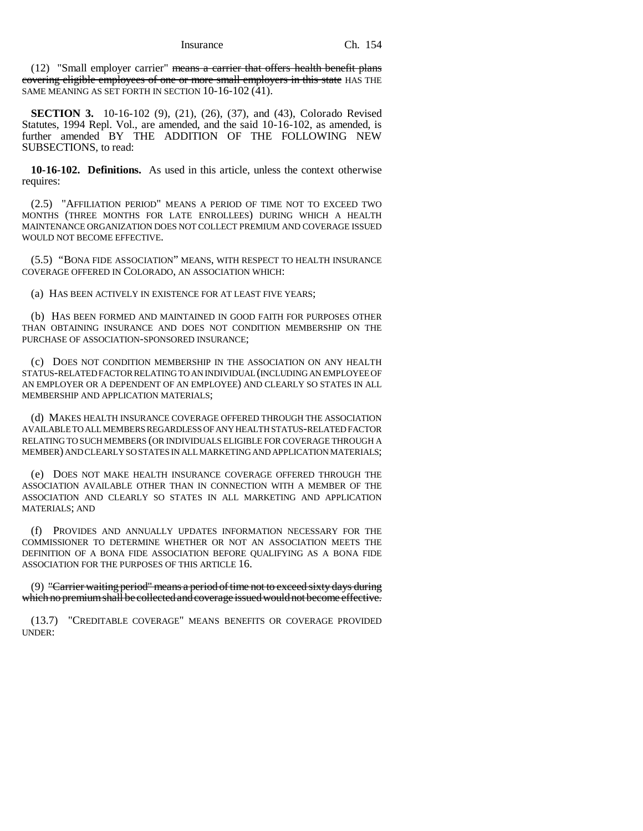$(12)$  "Small employer carrier" means a carrier that offers health benefit plans covering eligible employees of one or more small employers in this state HAS THE SAME MEANING AS SET FORTH IN SECTION 10-16-102 (41).

**SECTION 3.** 10-16-102 (9), (21), (26), (37), and (43), Colorado Revised Statutes, 1994 Repl. Vol., are amended, and the said 10-16-102, as amended, is further amended BY THE ADDITION OF THE FOLLOWING NEW SUBSECTIONS, to read:

**10-16-102. Definitions.** As used in this article, unless the context otherwise requires:

(2.5) "AFFILIATION PERIOD" MEANS A PERIOD OF TIME NOT TO EXCEED TWO MONTHS (THREE MONTHS FOR LATE ENROLLEES) DURING WHICH A HEALTH MAINTENANCE ORGANIZATION DOES NOT COLLECT PREMIUM AND COVERAGE ISSUED WOULD NOT BECOME EFFECTIVE.

(5.5) "BONA FIDE ASSOCIATION" MEANS, WITH RESPECT TO HEALTH INSURANCE COVERAGE OFFERED IN COLORADO, AN ASSOCIATION WHICH:

(a) HAS BEEN ACTIVELY IN EXISTENCE FOR AT LEAST FIVE YEARS;

(b) HAS BEEN FORMED AND MAINTAINED IN GOOD FAITH FOR PURPOSES OTHER THAN OBTAINING INSURANCE AND DOES NOT CONDITION MEMBERSHIP ON THE PURCHASE OF ASSOCIATION-SPONSORED INSURANCE;

(c) DOES NOT CONDITION MEMBERSHIP IN THE ASSOCIATION ON ANY HEALTH STATUS-RELATED FACTOR RELATING TO AN INDIVIDUAL (INCLUDING AN EMPLOYEE OF AN EMPLOYER OR A DEPENDENT OF AN EMPLOYEE) AND CLEARLY SO STATES IN ALL MEMBERSHIP AND APPLICATION MATERIALS;

(d) MAKES HEALTH INSURANCE COVERAGE OFFERED THROUGH THE ASSOCIATION AVAILABLE TO ALL MEMBERS REGARDLESS OF ANY HEALTH STATUS-RELATED FACTOR RELATING TO SUCH MEMBERS (OR INDIVIDUALS ELIGIBLE FOR COVERAGE THROUGH A MEMBER) AND CLEARLY SO STATES IN ALL MARKETING AND APPLICATION MATERIALS;

(e) DOES NOT MAKE HEALTH INSURANCE COVERAGE OFFERED THROUGH THE ASSOCIATION AVAILABLE OTHER THAN IN CONNECTION WITH A MEMBER OF THE ASSOCIATION AND CLEARLY SO STATES IN ALL MARKETING AND APPLICATION MATERIALS; AND

(f) PROVIDES AND ANNUALLY UPDATES INFORMATION NECESSARY FOR THE COMMISSIONER TO DETERMINE WHETHER OR NOT AN ASSOCIATION MEETS THE DEFINITION OF A BONA FIDE ASSOCIATION BEFORE QUALIFYING AS A BONA FIDE ASSOCIATION FOR THE PURPOSES OF THIS ARTICLE 16.

(9) "Carrier waiting period" means a period of time not to exceed sixty days during which no premium shall be collected and coverage issued would not become effective.

(13.7) "CREDITABLE COVERAGE" MEANS BENEFITS OR COVERAGE PROVIDED UNDER: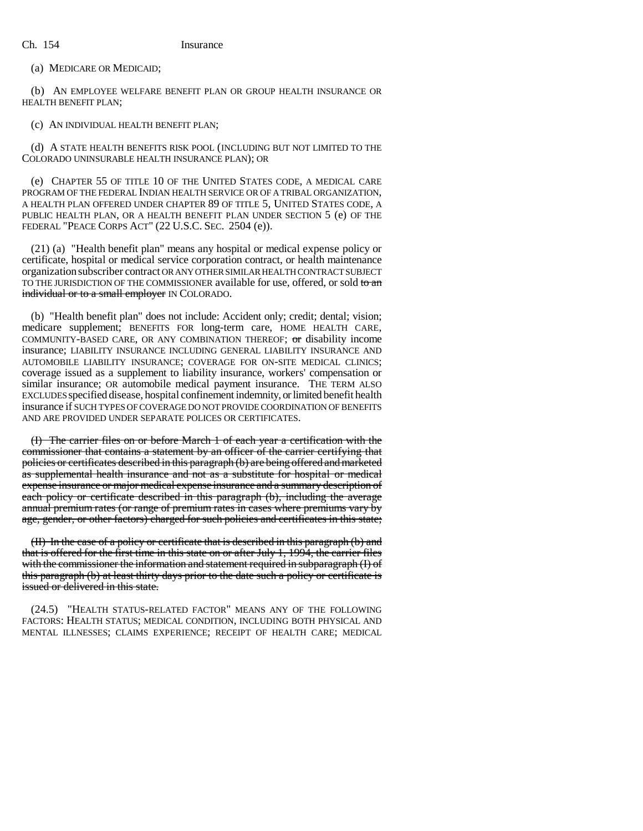(a) MEDICARE OR MEDICAID;

(b) AN EMPLOYEE WELFARE BENEFIT PLAN OR GROUP HEALTH INSURANCE OR HEALTH BENEFIT PLAN;

# (c) AN INDIVIDUAL HEALTH BENEFIT PLAN;

(d) A STATE HEALTH BENEFITS RISK POOL (INCLUDING BUT NOT LIMITED TO THE COLORADO UNINSURABLE HEALTH INSURANCE PLAN); OR

(e) CHAPTER 55 OF TITLE 10 OF THE UNITED STATES CODE, A MEDICAL CARE PROGRAM OF THE FEDERAL INDIAN HEALTH SERVICE OR OF A TRIBAL ORGANIZATION, A HEALTH PLAN OFFERED UNDER CHAPTER 89 OF TITLE 5, UNITED STATES CODE, A PUBLIC HEALTH PLAN, OR A HEALTH BENEFIT PLAN UNDER SECTION 5 (e) OF THE FEDERAL "PEACE CORPS ACT" (22 U.S.C. SEC. 2504 (e)).

(21) (a) "Health benefit plan" means any hospital or medical expense policy or certificate, hospital or medical service corporation contract, or health maintenance organization subscriber contract OR ANY OTHER SIMILAR HEALTH CONTRACT SUBJECT TO THE JURISDICTION OF THE COMMISSIONER available for use, offered, or sold to an individual or to a small employer IN COLORADO.

(b) "Health benefit plan" does not include: Accident only; credit; dental; vision; medicare supplement; BENEFITS FOR long-term care, HOME HEALTH CARE, COMMUNITY-BASED CARE, OR ANY COMBINATION THEREOF; or disability income insurance; LIABILITY INSURANCE INCLUDING GENERAL LIABILITY INSURANCE AND AUTOMOBILE LIABILITY INSURANCE; COVERAGE FOR ON-SITE MEDICAL CLINICS; coverage issued as a supplement to liability insurance, workers' compensation or similar insurance; OR automobile medical payment insurance. THE TERM ALSO EXCLUDES specified disease, hospital confinement indemnity, or limited benefit health insurance if SUCH TYPES OF COVERAGE DO NOT PROVIDE COORDINATION OF BENEFITS AND ARE PROVIDED UNDER SEPARATE POLICES OR CERTIFICATES.

(I) The carrier files on or before March 1 of each year a certification with the commissioner that contains a statement by an officer of the carrier certifying that policies or certificates described in this paragraph (b) are being offered and marketed as supplemental health insurance and not as a substitute for hospital or medical expense insurance or major medical expense insurance and a summary description of each policy or certificate described in this paragraph (b), including the average annual premium rates (or range of premium rates in cases where premiums vary by age, gender, or other factors) charged for such policies and certificates in this state;

(II) In the case of a policy or certificate that is described in this paragraph (b) and that is offered for the first time in this state on or after July 1, 1994, the carrier files with the commissioner the information and statement required in subparagraph (I) of this paragraph (b) at least thirty days prior to the date such a policy or certificate is issued or delivered in this state.

(24.5) "HEALTH STATUS-RELATED FACTOR" MEANS ANY OF THE FOLLOWING FACTORS: HEALTH STATUS; MEDICAL CONDITION, INCLUDING BOTH PHYSICAL AND MENTAL ILLNESSES; CLAIMS EXPERIENCE; RECEIPT OF HEALTH CARE; MEDICAL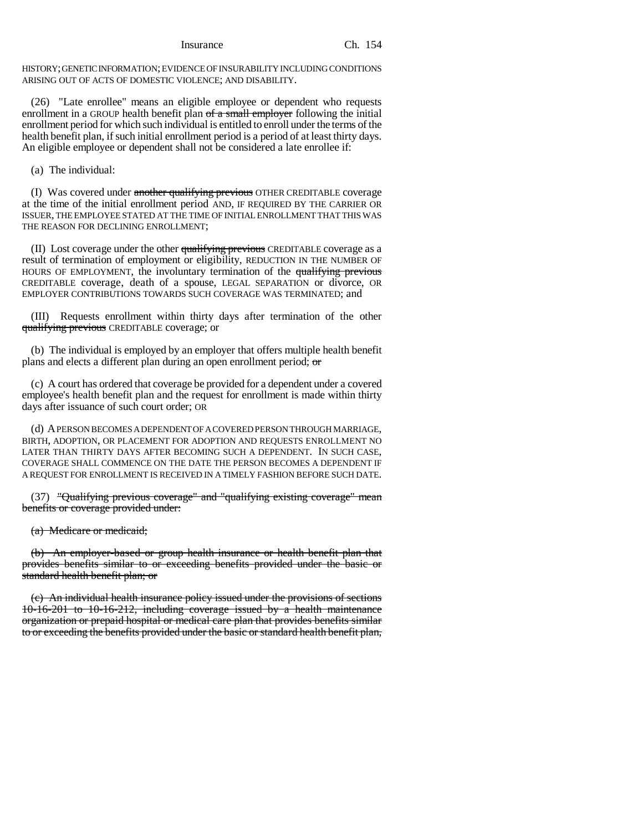HISTORY; GENETIC INFORMATION; EVIDENCE OF INSURABILITY INCLUDING CONDITIONS ARISING OUT OF ACTS OF DOMESTIC VIOLENCE; AND DISABILITY.

(26) "Late enrollee" means an eligible employee or dependent who requests enrollment in a GROUP health benefit plan of a small employer following the initial enrollment period for which such individual is entitled to enroll under the terms of the health benefit plan, if such initial enrollment period is a period of at least thirty days. An eligible employee or dependent shall not be considered a late enrollee if:

(a) The individual:

(I) Was covered under another qualifying previous OTHER CREDITABLE coverage at the time of the initial enrollment period AND, IF REQUIRED BY THE CARRIER OR ISSUER, THE EMPLOYEE STATED AT THE TIME OF INITIAL ENROLLMENT THAT THIS WAS THE REASON FOR DECLINING ENROLLMENT;

(II) Lost coverage under the other qualifying previous CREDITABLE coverage as a result of termination of employment or eligibility, REDUCTION IN THE NUMBER OF HOURS OF EMPLOYMENT, the involuntary termination of the qualifying previous CREDITABLE coverage, death of a spouse, LEGAL SEPARATION or divorce, OR EMPLOYER CONTRIBUTIONS TOWARDS SUCH COVERAGE WAS TERMINATED; and

(III) Requests enrollment within thirty days after termination of the other qualifying previous CREDITABLE coverage; or

(b) The individual is employed by an employer that offers multiple health benefit plans and elects a different plan during an open enrollment period; or

(c) A court has ordered that coverage be provided for a dependent under a covered employee's health benefit plan and the request for enrollment is made within thirty days after issuance of such court order; OR

(d) A PERSON BECOMES A DEPENDENT OF A COVERED PERSON THROUGH MARRIAGE, BIRTH, ADOPTION, OR PLACEMENT FOR ADOPTION AND REQUESTS ENROLLMENT NO LATER THAN THIRTY DAYS AFTER BECOMING SUCH A DEPENDENT. IN SUCH CASE, COVERAGE SHALL COMMENCE ON THE DATE THE PERSON BECOMES A DEPENDENT IF A REQUEST FOR ENROLLMENT IS RECEIVED IN A TIMELY FASHION BEFORE SUCH DATE.

(37) "Qualifying previous coverage" and "qualifying existing coverage" mean benefits or coverage provided under:

(a) Medicare or medicaid;

(b) An employer-based or group health insurance or health benefit plan that provides benefits similar to or exceeding benefits provided under the basic or standard health benefit plan; or

(c) An individual health insurance policy issued under the provisions of sections 10-16-201 to 10-16-212, including coverage issued by a health maintenance organization or prepaid hospital or medical care plan that provides benefits similar to or exceeding the benefits provided under the basic or standard health benefit plan,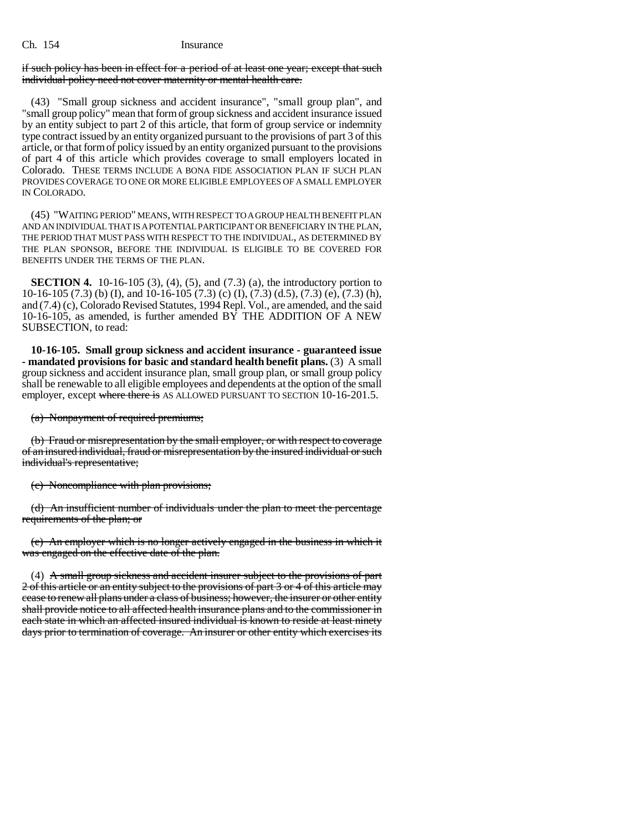# if such policy has been in effect for a period of at least one year; except that such individual policy need not cover maternity or mental health care.

(43) "Small group sickness and accident insurance", "small group plan", and "small group policy" mean that form of group sickness and accident insurance issued by an entity subject to part 2 of this article, that form of group service or indemnity type contract issued by an entity organized pursuant to the provisions of part 3 of this article, or that form of policy issued by an entity organized pursuant to the provisions of part 4 of this article which provides coverage to small employers located in Colorado. THESE TERMS INCLUDE A BONA FIDE ASSOCIATION PLAN IF SUCH PLAN PROVIDES COVERAGE TO ONE OR MORE ELIGIBLE EMPLOYEES OF A SMALL EMPLOYER IN COLORADO.

(45) "WAITING PERIOD" MEANS, WITH RESPECT TO A GROUP HEALTH BENEFIT PLAN AND AN INDIVIDUAL THAT IS A POTENTIAL PARTICIPANT OR BENEFICIARY IN THE PLAN, THE PERIOD THAT MUST PASS WITH RESPECT TO THE INDIVIDUAL, AS DETERMINED BY THE PLAN SPONSOR, BEFORE THE INDIVIDUAL IS ELIGIBLE TO BE COVERED FOR BENEFITS UNDER THE TERMS OF THE PLAN.

**SECTION 4.** 10-16-105 (3), (4), (5), and (7.3) (a), the introductory portion to 10-16-105 (7.3) (b) (I), and 10-16-105 (7.3) (c) (I), (7.3) (d.5), (7.3) (e), (7.3) (h), and (7.4) (c), Colorado Revised Statutes, 1994 Repl. Vol., are amended, and the said 10-16-105, as amended, is further amended  $B\overline{Y}$  THE ADDITION OF A NEW SUBSECTION, to read:

**10-16-105. Small group sickness and accident insurance - guaranteed issue - mandated provisions for basic and standard health benefit plans.** (3) A small group sickness and accident insurance plan, small group plan, or small group policy shall be renewable to all eligible employees and dependents at the option of the small employer, except where there is AS ALLOWED PURSUANT TO SECTION 10-16-201.5.

(a) Nonpayment of required premiums;

(b) Fraud or misrepresentation by the small employer, or with respect to coverage of an insured individual, fraud or misrepresentation by the insured individual or such individual's representative;

(c) Noncompliance with plan provisions;

(d) An insufficient number of individuals under the plan to meet the percentage requirements of the plan; or

(e) An employer which is no longer actively engaged in the business in which it was engaged on the effective date of the plan.

(4) A small group sickness and accident insurer subject to the provisions of part 2 of this article or an entity subject to the provisions of part 3 or 4 of this article may cease to renew all plans under a class of business; however, the insurer or other entity shall provide notice to all affected health insurance plans and to the commissioner in each state in which an affected insured individual is known to reside at least ninety days prior to termination of coverage. An insurer or other entity which exercises its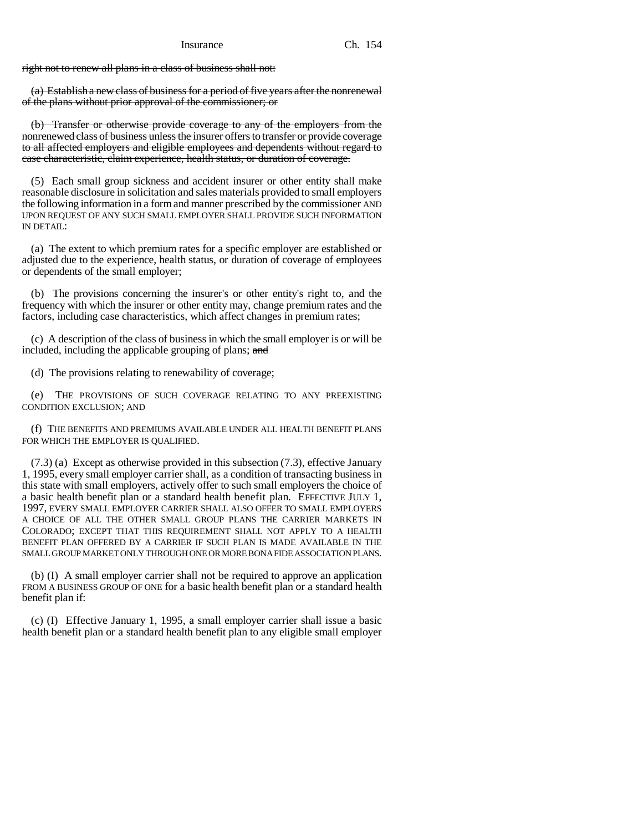right not to renew all plans in a class of business shall not:

(a) Establish a new class of business for a period of five years after the nonrenewal of the plans without prior approval of the commissioner; or

(b) Transfer or otherwise provide coverage to any of the employers from the nonrenewed class of business unless the insurer offers to transfer or provide coverage to all affected employers and eligible employees and dependents without regard to case characteristic, claim experience, health status, or duration of coverage.

(5) Each small group sickness and accident insurer or other entity shall make reasonable disclosure in solicitation and sales materials provided to small employers the following information in a form and manner prescribed by the commissioner AND UPON REQUEST OF ANY SUCH SMALL EMPLOYER SHALL PROVIDE SUCH INFORMATION IN DETAIL:

(a) The extent to which premium rates for a specific employer are established or adjusted due to the experience, health status, or duration of coverage of employees or dependents of the small employer;

(b) The provisions concerning the insurer's or other entity's right to, and the frequency with which the insurer or other entity may, change premium rates and the factors, including case characteristics, which affect changes in premium rates;

(c) A description of the class of business in which the small employer is or will be included, including the applicable grouping of plans; and

(d) The provisions relating to renewability of coverage;

(e) THE PROVISIONS OF SUCH COVERAGE RELATING TO ANY PREEXISTING CONDITION EXCLUSION; AND

(f) THE BENEFITS AND PREMIUMS AVAILABLE UNDER ALL HEALTH BENEFIT PLANS FOR WHICH THE EMPLOYER IS OUALIFIED.

(7.3) (a) Except as otherwise provided in this subsection (7.3), effective January 1, 1995, every small employer carrier shall, as a condition of transacting business in this state with small employers, actively offer to such small employers the choice of a basic health benefit plan or a standard health benefit plan. EFFECTIVE JULY 1, 1997, EVERY SMALL EMPLOYER CARRIER SHALL ALSO OFFER TO SMALL EMPLOYERS A CHOICE OF ALL THE OTHER SMALL GROUP PLANS THE CARRIER MARKETS IN COLORADO; EXCEPT THAT THIS REQUIREMENT SHALL NOT APPLY TO A HEALTH BENEFIT PLAN OFFERED BY A CARRIER IF SUCH PLAN IS MADE AVAILABLE IN THE SMALL GROUP MARKET ONLY THROUGH ONE OR MORE BONA FIDE ASSOCIATION PLANS.

(b) (I) A small employer carrier shall not be required to approve an application FROM A BUSINESS GROUP OF ONE for a basic health benefit plan or a standard health benefit plan if:

(c) (I) Effective January 1, 1995, a small employer carrier shall issue a basic health benefit plan or a standard health benefit plan to any eligible small employer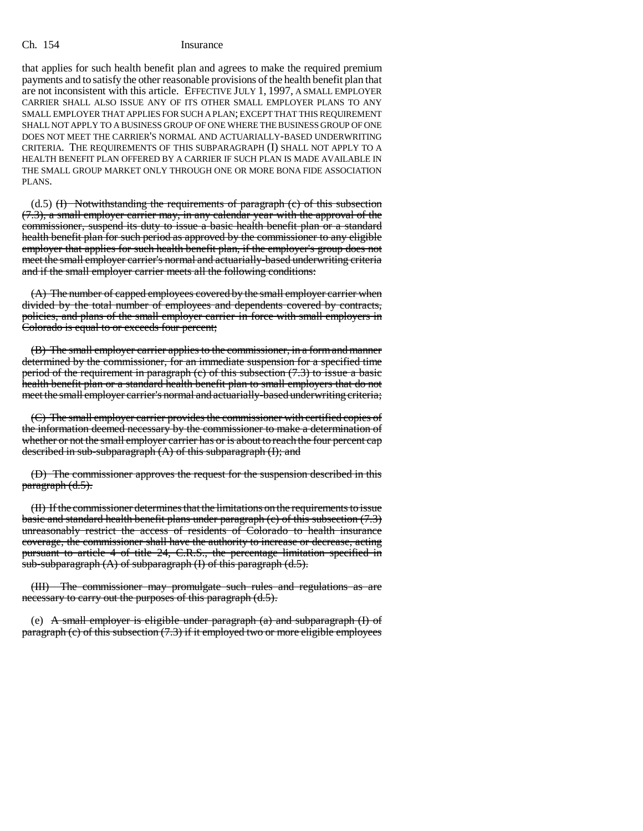that applies for such health benefit plan and agrees to make the required premium payments and to satisfy the other reasonable provisions of the health benefit plan that are not inconsistent with this article. EFFECTIVE JULY 1, 1997, A SMALL EMPLOYER CARRIER SHALL ALSO ISSUE ANY OF ITS OTHER SMALL EMPLOYER PLANS TO ANY SMALL EMPLOYER THAT APPLIES FOR SUCH A PLAN; EXCEPT THAT THIS REQUIREMENT SHALL NOT APPLY TO A BUSINESS GROUP OF ONE WHERE THE BUSINESS GROUP OF ONE DOES NOT MEET THE CARRIER'S NORMAL AND ACTUARIALLY-BASED UNDERWRITING CRITERIA. THE REQUIREMENTS OF THIS SUBPARAGRAPH (I) SHALL NOT APPLY TO A HEALTH BENEFIT PLAN OFFERED BY A CARRIER IF SUCH PLAN IS MADE AVAILABLE IN THE SMALL GROUP MARKET ONLY THROUGH ONE OR MORE BONA FIDE ASSOCIATION PLANS.

 $(1.5)$  (H) Notwithstanding the requirements of paragraph  $(c)$  of this subsection (7.3), a small employer carrier may, in any calendar year with the approval of the commissioner, suspend its duty to issue a basic health benefit plan or a standard health benefit plan for such period as approved by the commissioner to any eligible employer that applies for such health benefit plan, if the employer's group does not meet the small employer carrier's normal and actuarially-based underwriting criteria and if the small employer carrier meets all the following conditions:

(A) The number of capped employees covered by the small employer carrier when divided by the total number of employees and dependents covered by contracts, policies, and plans of the small employer carrier in force with small employers in Colorado is equal to or exceeds four percent;

(B) The small employer carrier applies to the commissioner, in a form and manner determined by the commissioner, for an immediate suspension for a specified time period of the requirement in paragraph (c) of this subsection (7.3) to issue a basic health benefit plan or a standard health benefit plan to small employers that do not meet the small employer carrier's normal and actuarially-based underwriting criteria;

(C) The small employer carrier provides the commissioner with certified copies of the information deemed necessary by the commissioner to make a determination of whether or not the small employer carrier has or is about to reach the four percent cap described in sub-subparagraph (A) of this subparagraph (I); and

(D) The commissioner approves the request for the suspension described in this paragraph (d.5).

(II) If the commissioner determines that the limitations on the requirements to issue basic and standard health benefit plans under paragraph (c) of this subsection (7.3) unreasonably restrict the access of residents of Colorado to health insurance coverage, the commissioner shall have the authority to increase or decrease, acting pursuant to article 4 of title 24, C.R.S., the percentage limitation specified in sub-subparagraph  $(A)$  of subparagraph  $(I)$  of this paragraph  $(d.5)$ .

(III) The commissioner may promulgate such rules and regulations as are necessary to carry out the purposes of this paragraph (d.5).

(e) A small employer is eligible under paragraph  $(a)$  and subparagraph  $(I)$  of paragraph  $(e)$  of this subsection  $(7.3)$  if it employed two or more eligible employees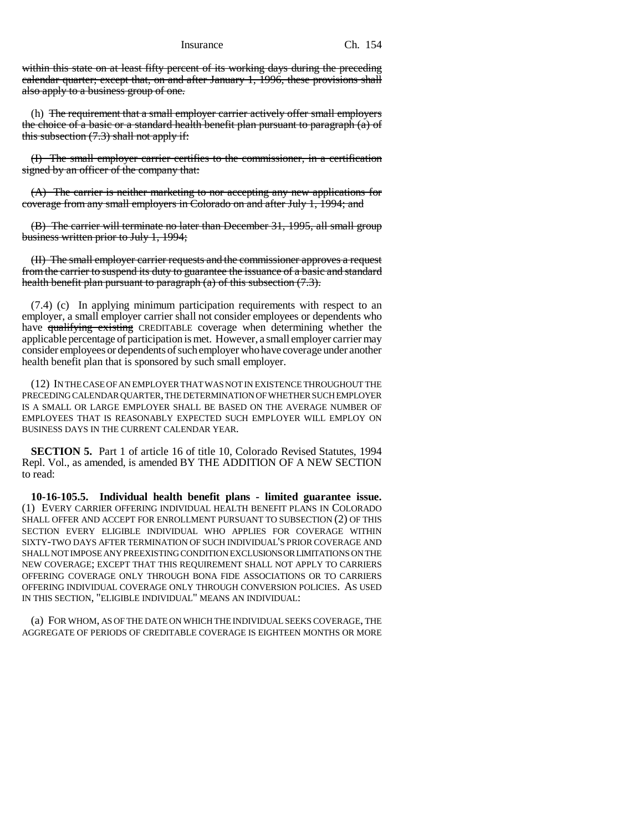within this state on at least fifty percent of its working days during the preceding calendar quarter; except that, on and after January 1, 1996, these provisions shall also apply to a business group of one.

(h) The requirement that a small employer carrier actively offer small employers the choice of a basic or a standard health benefit plan pursuant to paragraph (a) of this subsection (7.3) shall not apply if:

(I) The small employer carrier certifies to the commissioner, in a certification signed by an officer of the company that:

(A) The carrier is neither marketing to nor accepting any new applications for coverage from any small employers in Colorado on and after July 1, 1994; and

(B) The carrier will terminate no later than December 31, 1995, all small group business written prior to July 1, 1994;

(II) The small employer carrier requests and the commissioner approves a request from the carrier to suspend its duty to guarantee the issuance of a basic and standard health benefit plan pursuant to paragraph  $(a)$  of this subsection  $(7.3)$ .

(7.4) (c) In applying minimum participation requirements with respect to an employer, a small employer carrier shall not consider employees or dependents who have qualifying existing CREDITABLE coverage when determining whether the applicable percentage of participation is met. However, a small employer carrier may consider employees or dependents of such employer who have coverage under another health benefit plan that is sponsored by such small employer.

(12) IN THE CASE OF AN EMPLOYER THAT WAS NOT IN EXISTENCE THROUGHOUT THE PRECEDING CALENDAR QUARTER, THE DETERMINATION OF WHETHER SUCH EMPLOYER IS A SMALL OR LARGE EMPLOYER SHALL BE BASED ON THE AVERAGE NUMBER OF EMPLOYEES THAT IS REASONABLY EXPECTED SUCH EMPLOYER WILL EMPLOY ON BUSINESS DAYS IN THE CURRENT CALENDAR YEAR.

**SECTION 5.** Part 1 of article 16 of title 10, Colorado Revised Statutes, 1994 Repl. Vol., as amended, is amended BY THE ADDITION OF A NEW SECTION to read:

**10-16-105.5. Individual health benefit plans - limited guarantee issue.** (1) EVERY CARRIER OFFERING INDIVIDUAL HEALTH BENEFIT PLANS IN COLORADO SHALL OFFER AND ACCEPT FOR ENROLLMENT PURSUANT TO SUBSECTION (2) OF THIS SECTION EVERY ELIGIBLE INDIVIDUAL WHO APPLIES FOR COVERAGE WITHIN SIXTY-TWO DAYS AFTER TERMINATION OF SUCH INDIVIDUAL'S PRIOR COVERAGE AND SHALL NOT IMPOSE ANY PREEXISTING CONDITION EXCLUSIONS OR LIMITATIONS ON THE NEW COVERAGE; EXCEPT THAT THIS REQUIREMENT SHALL NOT APPLY TO CARRIERS OFFERING COVERAGE ONLY THROUGH BONA FIDE ASSOCIATIONS OR TO CARRIERS OFFERING INDIVIDUAL COVERAGE ONLY THROUGH CONVERSION POLICIES. AS USED IN THIS SECTION, "ELIGIBLE INDIVIDUAL" MEANS AN INDIVIDUAL:

(a) FOR WHOM, AS OF THE DATE ON WHICH THE INDIVIDUAL SEEKS COVERAGE, THE AGGREGATE OF PERIODS OF CREDITABLE COVERAGE IS EIGHTEEN MONTHS OR MORE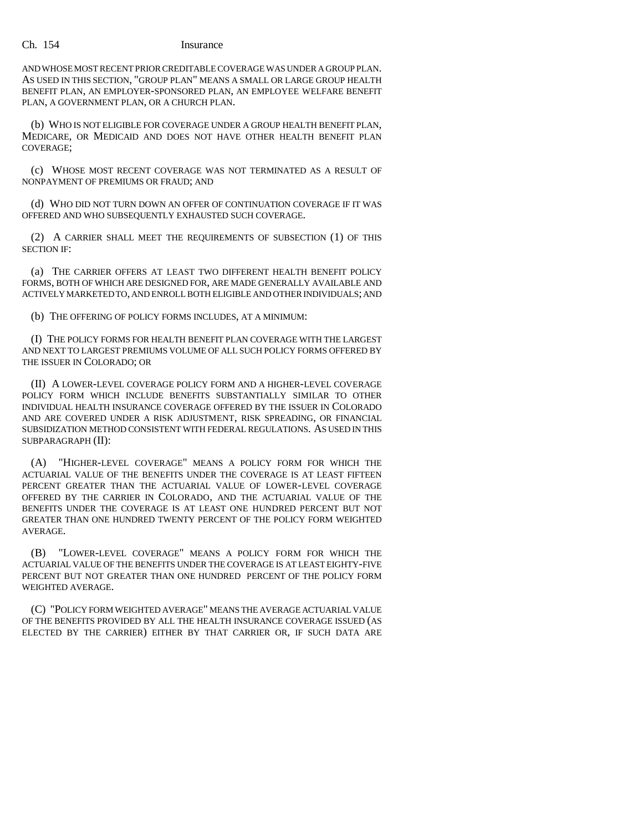AND WHOSE MOST RECENT PRIOR CREDITABLE COVERAGE WAS UNDER A GROUP PLAN. AS USED IN THIS SECTION, "GROUP PLAN" MEANS A SMALL OR LARGE GROUP HEALTH BENEFIT PLAN, AN EMPLOYER-SPONSORED PLAN, AN EMPLOYEE WELFARE BENEFIT PLAN, A GOVERNMENT PLAN, OR A CHURCH PLAN.

(b) WHO IS NOT ELIGIBLE FOR COVERAGE UNDER A GROUP HEALTH BENEFIT PLAN, MEDICARE, OR MEDICAID AND DOES NOT HAVE OTHER HEALTH BENEFIT PLAN COVERAGE;

(c) WHOSE MOST RECENT COVERAGE WAS NOT TERMINATED AS A RESULT OF NONPAYMENT OF PREMIUMS OR FRAUD; AND

(d) WHO DID NOT TURN DOWN AN OFFER OF CONTINUATION COVERAGE IF IT WAS OFFERED AND WHO SUBSEQUENTLY EXHAUSTED SUCH COVERAGE.

(2) A CARRIER SHALL MEET THE REQUIREMENTS OF SUBSECTION (1) OF THIS SECTION IF:

(a) THE CARRIER OFFERS AT LEAST TWO DIFFERENT HEALTH BENEFIT POLICY FORMS, BOTH OF WHICH ARE DESIGNED FOR, ARE MADE GENERALLY AVAILABLE AND ACTIVELY MARKETED TO, AND ENROLL BOTH ELIGIBLE AND OTHER INDIVIDUALS; AND

(b) THE OFFERING OF POLICY FORMS INCLUDES, AT A MINIMUM:

(I) THE POLICY FORMS FOR HEALTH BENEFIT PLAN COVERAGE WITH THE LARGEST AND NEXT TO LARGEST PREMIUMS VOLUME OF ALL SUCH POLICY FORMS OFFERED BY THE ISSUER IN COLORADO; OR

(II) A LOWER-LEVEL COVERAGE POLICY FORM AND A HIGHER-LEVEL COVERAGE POLICY FORM WHICH INCLUDE BENEFITS SUBSTANTIALLY SIMILAR TO OTHER INDIVIDUAL HEALTH INSURANCE COVERAGE OFFERED BY THE ISSUER IN COLORADO AND ARE COVERED UNDER A RISK ADJUSTMENT, RISK SPREADING, OR FINANCIAL SUBSIDIZATION METHOD CONSISTENT WITH FEDERAL REGULATIONS. AS USED IN THIS SUBPARAGRAPH (II):

(A) "HIGHER-LEVEL COVERAGE" MEANS A POLICY FORM FOR WHICH THE ACTUARIAL VALUE OF THE BENEFITS UNDER THE COVERAGE IS AT LEAST FIFTEEN PERCENT GREATER THAN THE ACTUARIAL VALUE OF LOWER-LEVEL COVERAGE OFFERED BY THE CARRIER IN COLORADO, AND THE ACTUARIAL VALUE OF THE BENEFITS UNDER THE COVERAGE IS AT LEAST ONE HUNDRED PERCENT BUT NOT GREATER THAN ONE HUNDRED TWENTY PERCENT OF THE POLICY FORM WEIGHTED AVERAGE.

(B) "LOWER-LEVEL COVERAGE" MEANS A POLICY FORM FOR WHICH THE ACTUARIAL VALUE OF THE BENEFITS UNDER THE COVERAGE IS AT LEAST EIGHTY-FIVE PERCENT BUT NOT GREATER THAN ONE HUNDRED PERCENT OF THE POLICY FORM WEIGHTED AVERAGE.

(C) "POLICY FORM WEIGHTED AVERAGE" MEANS THE AVERAGE ACTUARIAL VALUE OF THE BENEFITS PROVIDED BY ALL THE HEALTH INSURANCE COVERAGE ISSUED (AS ELECTED BY THE CARRIER) EITHER BY THAT CARRIER OR, IF SUCH DATA ARE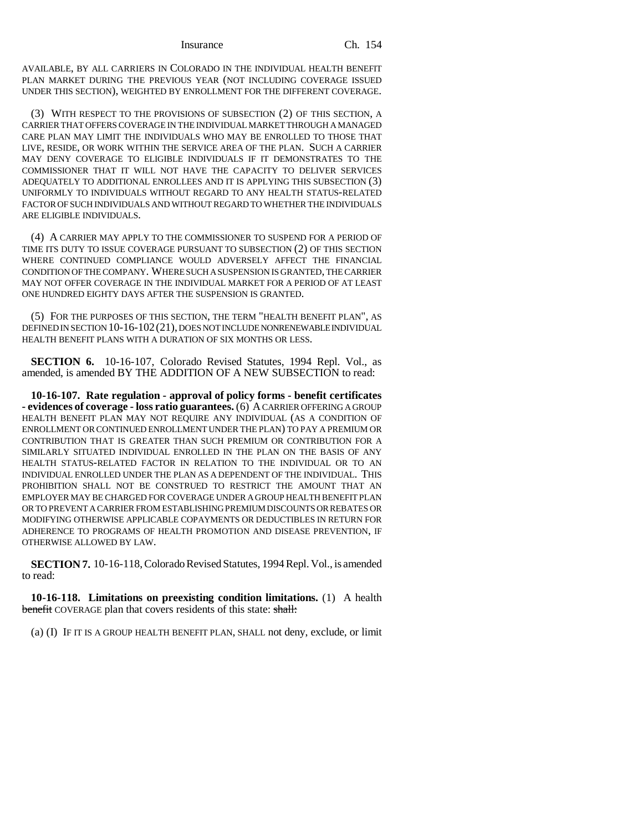AVAILABLE, BY ALL CARRIERS IN COLORADO IN THE INDIVIDUAL HEALTH BENEFIT PLAN MARKET DURING THE PREVIOUS YEAR (NOT INCLUDING COVERAGE ISSUED UNDER THIS SECTION), WEIGHTED BY ENROLLMENT FOR THE DIFFERENT COVERAGE.

(3) WITH RESPECT TO THE PROVISIONS OF SUBSECTION (2) OF THIS SECTION, A CARRIER THAT OFFERS COVERAGE IN THE INDIVIDUAL MARKET THROUGH A MANAGED CARE PLAN MAY LIMIT THE INDIVIDUALS WHO MAY BE ENROLLED TO THOSE THAT LIVE, RESIDE, OR WORK WITHIN THE SERVICE AREA OF THE PLAN. SUCH A CARRIER MAY DENY COVERAGE TO ELIGIBLE INDIVIDUALS IF IT DEMONSTRATES TO THE COMMISSIONER THAT IT WILL NOT HAVE THE CAPACITY TO DELIVER SERVICES ADEQUATELY TO ADDITIONAL ENROLLEES AND IT IS APPLYING THIS SUBSECTION (3) UNIFORMLY TO INDIVIDUALS WITHOUT REGARD TO ANY HEALTH STATUS-RELATED FACTOR OF SUCH INDIVIDUALS AND WITHOUT REGARD TO WHETHER THE INDIVIDUALS ARE ELIGIBLE INDIVIDUALS.

(4) A CARRIER MAY APPLY TO THE COMMISSIONER TO SUSPEND FOR A PERIOD OF TIME ITS DUTY TO ISSUE COVERAGE PURSUANT TO SUBSECTION (2) OF THIS SECTION WHERE CONTINUED COMPLIANCE WOULD ADVERSELY AFFECT THE FINANCIAL CONDITION OF THE COMPANY. WHERE SUCH A SUSPENSION IS GRANTED, THE CARRIER MAY NOT OFFER COVERAGE IN THE INDIVIDUAL MARKET FOR A PERIOD OF AT LEAST ONE HUNDRED EIGHTY DAYS AFTER THE SUSPENSION IS GRANTED.

(5) FOR THE PURPOSES OF THIS SECTION, THE TERM "HEALTH BENEFIT PLAN", AS DEFINED IN SECTION 10-16-102(21), DOES NOT INCLUDE NONRENEWABLE INDIVIDUAL HEALTH BENEFIT PLANS WITH A DURATION OF SIX MONTHS OR LESS.

**SECTION 6.** 10-16-107, Colorado Revised Statutes, 1994 Repl. Vol., as amended, is amended BY THE ADDITION OF A NEW SUBSECTION to read:

**10-16-107. Rate regulation - approval of policy forms - benefit certificates - evidences of coverage - loss ratio guarantees.** (6) A CARRIER OFFERING A GROUP HEALTH BENEFIT PLAN MAY NOT REQUIRE ANY INDIVIDUAL (AS A CONDITION OF ENROLLMENT OR CONTINUED ENROLLMENT UNDER THE PLAN) TO PAY A PREMIUM OR CONTRIBUTION THAT IS GREATER THAN SUCH PREMIUM OR CONTRIBUTION FOR A SIMILARLY SITUATED INDIVIDUAL ENROLLED IN THE PLAN ON THE BASIS OF ANY HEALTH STATUS-RELATED FACTOR IN RELATION TO THE INDIVIDUAL OR TO AN INDIVIDUAL ENROLLED UNDER THE PLAN AS A DEPENDENT OF THE INDIVIDUAL. THIS PROHIBITION SHALL NOT BE CONSTRUED TO RESTRICT THE AMOUNT THAT AN EMPLOYER MAY BE CHARGED FOR COVERAGE UNDER A GROUP HEALTH BENEFIT PLAN OR TO PREVENT A CARRIER FROM ESTABLISHING PREMIUM DISCOUNTS OR REBATES OR MODIFYING OTHERWISE APPLICABLE COPAYMENTS OR DEDUCTIBLES IN RETURN FOR ADHERENCE TO PROGRAMS OF HEALTH PROMOTION AND DISEASE PREVENTION, IF OTHERWISE ALLOWED BY LAW.

**SECTION 7.** 10-16-118, Colorado Revised Statutes, 1994 Repl. Vol., is amended to read:

**10-16-118. Limitations on preexisting condition limitations.** (1) A health benefit COVERAGE plan that covers residents of this state: shall:

(a) (I) IF IT IS A GROUP HEALTH BENEFIT PLAN, SHALL not deny, exclude, or limit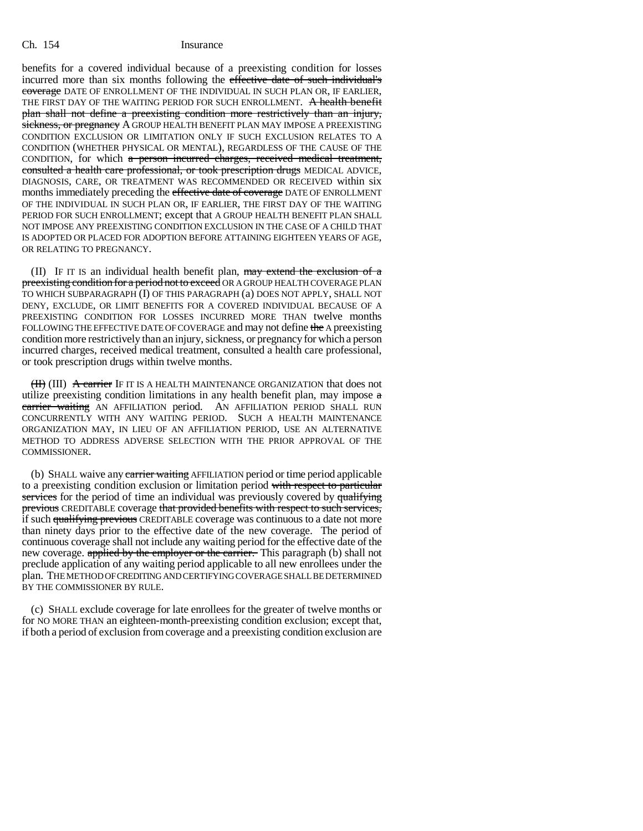benefits for a covered individual because of a preexisting condition for losses incurred more than six months following the effective date of such individual's coverage DATE OF ENROLLMENT OF THE INDIVIDUAL IN SUCH PLAN OR, IF EARLIER, THE FIRST DAY OF THE WAITING PERIOD FOR SUCH ENROLLMENT. A health benefit plan shall not define a preexisting condition more restrictively than an injury, sickness, or pregnancy A GROUP HEALTH BENEFIT PLAN MAY IMPOSE A PREEXISTING CONDITION EXCLUSION OR LIMITATION ONLY IF SUCH EXCLUSION RELATES TO A CONDITION (WHETHER PHYSICAL OR MENTAL), REGARDLESS OF THE CAUSE OF THE CONDITION, for which a person incurred charges, received medical treatment, consulted a health care professional, or took prescription drugs MEDICAL ADVICE, DIAGNOSIS, CARE, OR TREATMENT WAS RECOMMENDED OR RECEIVED within six months immediately preceding the effective date of coverage DATE OF ENROLLMENT OF THE INDIVIDUAL IN SUCH PLAN OR, IF EARLIER, THE FIRST DAY OF THE WAITING PERIOD FOR SUCH ENROLLMENT; except that A GROUP HEALTH BENEFIT PLAN SHALL NOT IMPOSE ANY PREEXISTING CONDITION EXCLUSION IN THE CASE OF A CHILD THAT IS ADOPTED OR PLACED FOR ADOPTION BEFORE ATTAINING EIGHTEEN YEARS OF AGE, OR RELATING TO PREGNANCY.

(II) IF IT IS an individual health benefit plan,  $\frac{may}{dd}$  extend the exclusion of a preexisting condition for a period not to exceed OR A GROUP HEALTH COVERAGE PLAN TO WHICH SUBPARAGRAPH (I) OF THIS PARAGRAPH (a) DOES NOT APPLY, SHALL NOT DENY, EXCLUDE, OR LIMIT BENEFITS FOR A COVERED INDIVIDUAL BECAUSE OF A PREEXISTING CONDITION FOR LOSSES INCURRED MORE THAN twelve months FOLLOWING THE EFFECTIVE DATE OF COVERAGE and may not define the A preexisting condition more restrictively than an injury, sickness, or pregnancy for which a person incurred charges, received medical treatment, consulted a health care professional, or took prescription drugs within twelve months.

(II) (III) A carrier IF IT IS A HEALTH MAINTENANCE ORGANIZATION that does not utilize preexisting condition limitations in any health benefit plan, may impose  $\alpha$ carrier waiting AN AFFILIATION period. AN AFFILIATION PERIOD SHALL RUN CONCURRENTLY WITH ANY WAITING PERIOD. SUCH A HEALTH MAINTENANCE ORGANIZATION MAY, IN LIEU OF AN AFFILIATION PERIOD, USE AN ALTERNATIVE METHOD TO ADDRESS ADVERSE SELECTION WITH THE PRIOR APPROVAL OF THE COMMISSIONER.

(b) SHALL waive any carrier waiting AFFILIATION period or time period applicable to a preexisting condition exclusion or limitation period with respect to particular services for the period of time an individual was previously covered by qualifying previous CREDITABLE coverage that provided benefits with respect to such services, if such qualifying previous CREDITABLE coverage was continuous to a date not more than ninety days prior to the effective date of the new coverage. The period of continuous coverage shall not include any waiting period for the effective date of the new coverage. applied by the employer or the carrier. This paragraph (b) shall not preclude application of any waiting period applicable to all new enrollees under the plan. THE METHOD OF CREDITING AND CERTIFYING COVERAGE SHALL BE DETERMINED BY THE COMMISSIONER BY RULE.

(c) SHALL exclude coverage for late enrollees for the greater of twelve months or for NO MORE THAN an eighteen-month-preexisting condition exclusion; except that, if both a period of exclusion from coverage and a preexisting condition exclusion are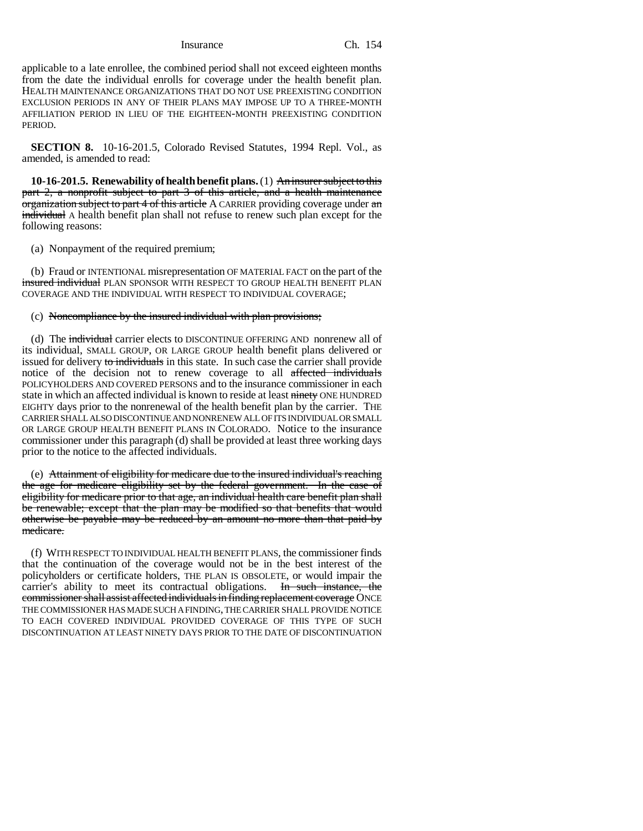applicable to a late enrollee, the combined period shall not exceed eighteen months from the date the individual enrolls for coverage under the health benefit plan. HEALTH MAINTENANCE ORGANIZATIONS THAT DO NOT USE PREEXISTING CONDITION EXCLUSION PERIODS IN ANY OF THEIR PLANS MAY IMPOSE UP TO A THREE-MONTH AFFILIATION PERIOD IN LIEU OF THE EIGHTEEN-MONTH PREEXISTING CONDITION PERIOD.

**SECTION 8.** 10-16-201.5, Colorado Revised Statutes, 1994 Repl. Vol., as amended, is amended to read:

**10-16-201.5. Renewability of health benefit plans.** (1) An insurer subject to this part 2, a nonprofit subject to part 3 of this article, and a health maintenance organization subject to part 4 of this article A CARRIER providing coverage under an individual A health benefit plan shall not refuse to renew such plan except for the following reasons:

(a) Nonpayment of the required premium;

(b) Fraud or INTENTIONAL misrepresentation OF MATERIAL FACT on the part of the insured individual PLAN SPONSOR WITH RESPECT TO GROUP HEALTH BENEFIT PLAN COVERAGE AND THE INDIVIDUAL WITH RESPECT TO INDIVIDUAL COVERAGE;

(c) Noncompliance by the insured individual with plan provisions;

(d) The individual carrier elects to DISCONTINUE OFFERING AND nonrenew all of its individual, SMALL GROUP, OR LARGE GROUP health benefit plans delivered or issued for delivery to individuals in this state. In such case the carrier shall provide notice of the decision not to renew coverage to all affected individuals POLICYHOLDERS AND COVERED PERSONS and to the insurance commissioner in each state in which an affected individual is known to reside at least ninety ONE HUNDRED EIGHTY days prior to the nonrenewal of the health benefit plan by the carrier. THE CARRIER SHALL ALSO DISCONTINUE AND NONRENEW ALL OF ITS INDIVIDUAL OR SMALL OR LARGE GROUP HEALTH BENEFIT PLANS IN COLORADO. Notice to the insurance commissioner under this paragraph (d) shall be provided at least three working days prior to the notice to the affected individuals.

(e) Attainment of eligibility for medicare due to the insured individual's reaching the age for medicare eligibility set by the federal government. In the case of eligibility for medicare prior to that age, an individual health care benefit plan shall be renewable; except that the plan may be modified so that benefits that would otherwise be payable may be reduced by an amount no more than that paid by medicare.

(f) WITH RESPECT TO INDIVIDUAL HEALTH BENEFIT PLANS, the commissioner finds that the continuation of the coverage would not be in the best interest of the policyholders or certificate holders, THE PLAN IS OBSOLETE, or would impair the carrier's ability to meet its contractual obligations. In such instance, the commissioner shall assist affected individuals in finding replacement coverage ONCE THE COMMISSIONER HAS MADE SUCH A FINDING, THE CARRIER SHALL PROVIDE NOTICE TO EACH COVERED INDIVIDUAL PROVIDED COVERAGE OF THIS TYPE OF SUCH DISCONTINUATION AT LEAST NINETY DAYS PRIOR TO THE DATE OF DISCONTINUATION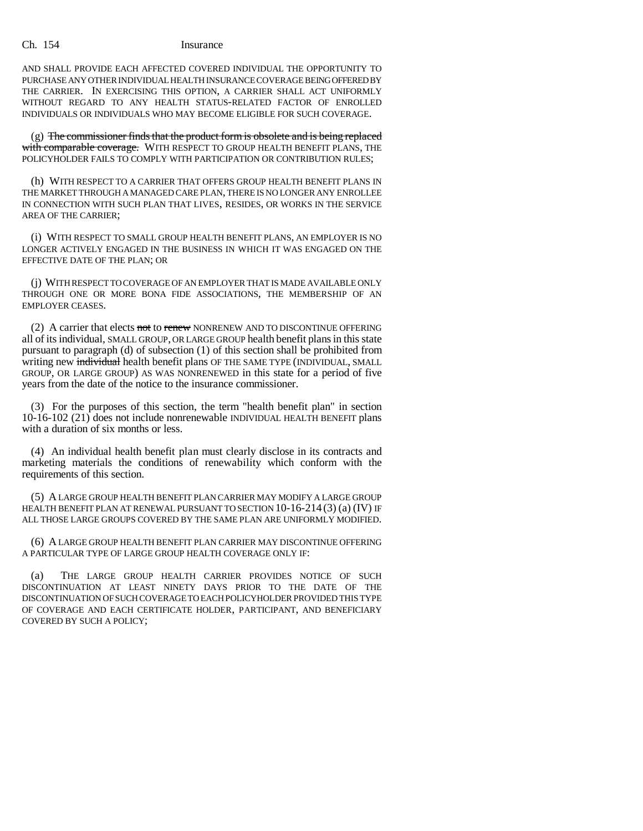AND SHALL PROVIDE EACH AFFECTED COVERED INDIVIDUAL THE OPPORTUNITY TO PURCHASE ANY OTHER INDIVIDUAL HEALTH INSURANCE COVERAGE BEING OFFERED BY THE CARRIER. IN EXERCISING THIS OPTION, A CARRIER SHALL ACT UNIFORMLY WITHOUT REGARD TO ANY HEALTH STATUS-RELATED FACTOR OF ENROLLED INDIVIDUALS OR INDIVIDUALS WHO MAY BECOME ELIGIBLE FOR SUCH COVERAGE.

(g) The commissioner finds that the product form is obsolete and is being replaced with comparable coverage. WITH RESPECT TO GROUP HEALTH BENEFIT PLANS, THE POLICYHOLDER FAILS TO COMPLY WITH PARTICIPATION OR CONTRIBUTION RULES;

(h) WITH RESPECT TO A CARRIER THAT OFFERS GROUP HEALTH BENEFIT PLANS IN THE MARKET THROUGH A MANAGED CARE PLAN, THERE IS NO LONGER ANY ENROLLEE IN CONNECTION WITH SUCH PLAN THAT LIVES, RESIDES, OR WORKS IN THE SERVICE AREA OF THE CARRIER;

(i) WITH RESPECT TO SMALL GROUP HEALTH BENEFIT PLANS, AN EMPLOYER IS NO LONGER ACTIVELY ENGAGED IN THE BUSINESS IN WHICH IT WAS ENGAGED ON THE EFFECTIVE DATE OF THE PLAN; OR

(j) WITH RESPECT TO COVERAGE OF AN EMPLOYER THAT IS MADE AVAILABLE ONLY THROUGH ONE OR MORE BONA FIDE ASSOCIATIONS, THE MEMBERSHIP OF AN EMPLOYER CEASES.

(2) A carrier that elects not to renew NONRENEW AND TO DISCONTINUE OFFERING all of its individual, SMALL GROUP, OR LARGE GROUP health benefit plans in this state pursuant to paragraph (d) of subsection (1) of this section shall be prohibited from writing new individual health benefit plans OF THE SAME TYPE (INDIVIDUAL, SMALL GROUP, OR LARGE GROUP) AS WAS NONRENEWED in this state for a period of five years from the date of the notice to the insurance commissioner.

(3) For the purposes of this section, the term "health benefit plan" in section 10-16-102 (21) does not include nonrenewable INDIVIDUAL HEALTH BENEFIT plans with a duration of six months or less.

(4) An individual health benefit plan must clearly disclose in its contracts and marketing materials the conditions of renewability which conform with the requirements of this section.

(5) A LARGE GROUP HEALTH BENEFIT PLAN CARRIER MAY MODIFY A LARGE GROUP HEALTH BENEFIT PLAN AT RENEWAL PURSUANT TO SECTION 10-16-214 (3) (a) (IV) IF ALL THOSE LARGE GROUPS COVERED BY THE SAME PLAN ARE UNIFORMLY MODIFIED.

(6) A LARGE GROUP HEALTH BENEFIT PLAN CARRIER MAY DISCONTINUE OFFERING A PARTICULAR TYPE OF LARGE GROUP HEALTH COVERAGE ONLY IF:

(a) THE LARGE GROUP HEALTH CARRIER PROVIDES NOTICE OF SUCH DISCONTINUATION AT LEAST NINETY DAYS PRIOR TO THE DATE OF THE DISCONTINUATION OF SUCH COVERAGE TO EACH POLICYHOLDER PROVIDED THIS TYPE OF COVERAGE AND EACH CERTIFICATE HOLDER, PARTICIPANT, AND BENEFICIARY COVERED BY SUCH A POLICY;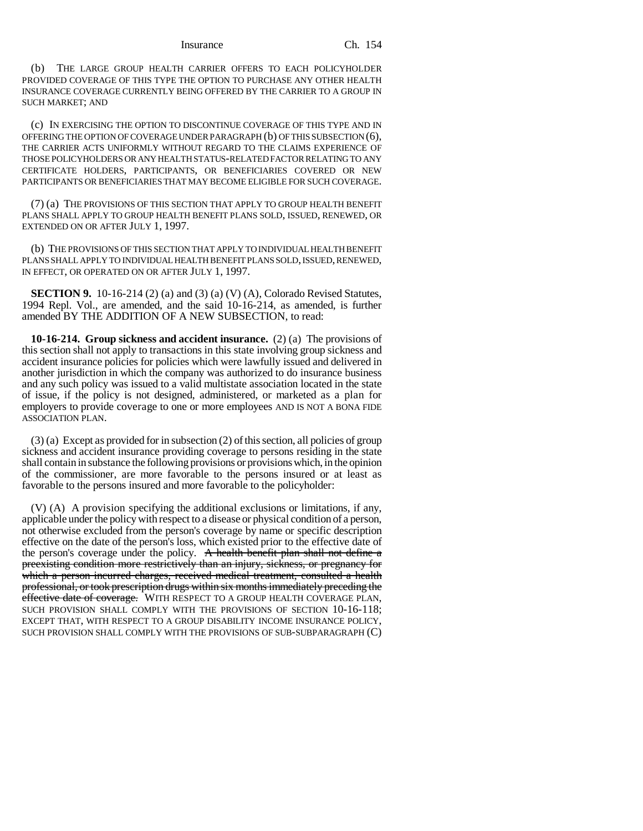(b) THE LARGE GROUP HEALTH CARRIER OFFERS TO EACH POLICYHOLDER PROVIDED COVERAGE OF THIS TYPE THE OPTION TO PURCHASE ANY OTHER HEALTH INSURANCE COVERAGE CURRENTLY BEING OFFERED BY THE CARRIER TO A GROUP IN SUCH MARKET; AND

(c) IN EXERCISING THE OPTION TO DISCONTINUE COVERAGE OF THIS TYPE AND IN OFFERING THE OPTION OF COVERAGE UNDER PARAGRAPH (b) OF THIS SUBSECTION (6), THE CARRIER ACTS UNIFORMLY WITHOUT REGARD TO THE CLAIMS EXPERIENCE OF THOSE POLICYHOLDERS OR ANY HEALTH STATUS-RELATED FACTOR RELATING TO ANY CERTIFICATE HOLDERS, PARTICIPANTS, OR BENEFICIARIES COVERED OR NEW PARTICIPANTS OR BENEFICIARIES THAT MAY BECOME ELIGIBLE FOR SUCH COVERAGE.

(7) (a) THE PROVISIONS OF THIS SECTION THAT APPLY TO GROUP HEALTH BENEFIT PLANS SHALL APPLY TO GROUP HEALTH BENEFIT PLANS SOLD, ISSUED, RENEWED, OR EXTENDED ON OR AFTER JULY 1, 1997.

(b) THE PROVISIONS OF THIS SECTION THAT APPLY TO INDIVIDUAL HEALTH BENEFIT PLANS SHALL APPLY TO INDIVIDUAL HEALTH BENEFIT PLANS SOLD, ISSUED, RENEWED, IN EFFECT, OR OPERATED ON OR AFTER JULY 1, 1997.

**SECTION 9.** 10-16-214 (2) (a) and (3) (a) (V) (A), Colorado Revised Statutes, 1994 Repl. Vol., are amended, and the said 10-16-214, as amended, is further amended BY THE ADDITION OF A NEW SUBSECTION, to read:

**10-16-214. Group sickness and accident insurance.** (2) (a) The provisions of this section shall not apply to transactions in this state involving group sickness and accident insurance policies for policies which were lawfully issued and delivered in another jurisdiction in which the company was authorized to do insurance business and any such policy was issued to a valid multistate association located in the state of issue, if the policy is not designed, administered, or marketed as a plan for employers to provide coverage to one or more employees AND IS NOT A BONA FIDE ASSOCIATION PLAN.

(3) (a) Except as provided for in subsection (2) of this section, all policies of group sickness and accident insurance providing coverage to persons residing in the state shall contain in substance the following provisions or provisions which, in the opinion of the commissioner, are more favorable to the persons insured or at least as favorable to the persons insured and more favorable to the policyholder:

(V) (A) A provision specifying the additional exclusions or limitations, if any, applicable under the policy with respect to a disease or physical condition of a person, not otherwise excluded from the person's coverage by name or specific description effective on the date of the person's loss, which existed prior to the effective date of the person's coverage under the policy. A health benefit plan shall not define a preexisting condition more restrictively than an injury, sickness, or pregnancy for which a person incurred charges, received medical treatment, consulted a health professional, or took prescription drugs within six months immediately preceding the effective date of coverage. WITH RESPECT TO A GROUP HEALTH COVERAGE PLAN, SUCH PROVISION SHALL COMPLY WITH THE PROVISIONS OF SECTION 10-16-118; EXCEPT THAT, WITH RESPECT TO A GROUP DISABILITY INCOME INSURANCE POLICY, SUCH PROVISION SHALL COMPLY WITH THE PROVISIONS OF SUB-SUBPARAGRAPH (C)